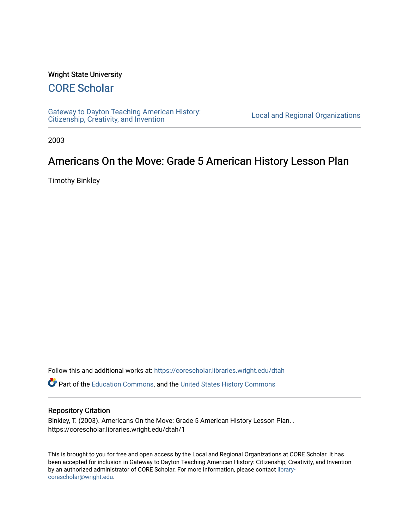## Wright State University

## [CORE Scholar](https://corescholar.libraries.wright.edu/)

[Gateway to Dayton Teaching American History:](https://corescholar.libraries.wright.edu/dtah)  Gateway to Dayton Teaching American History.<br>[Citizenship, Creativity, and Invention](https://corescholar.libraries.wright.edu/dtah) Listory Local and Regional Organizations

2003

## Americans On the Move: Grade 5 American History Lesson Plan

Timothy Binkley

Follow this and additional works at: [https://corescholar.libraries.wright.edu/dtah](https://corescholar.libraries.wright.edu/dtah?utm_source=corescholar.libraries.wright.edu%2Fdtah%2F1&utm_medium=PDF&utm_campaign=PDFCoverPages)

Part of the [Education Commons](http://network.bepress.com/hgg/discipline/784?utm_source=corescholar.libraries.wright.edu%2Fdtah%2F1&utm_medium=PDF&utm_campaign=PDFCoverPages), and the [United States History Commons](http://network.bepress.com/hgg/discipline/495?utm_source=corescholar.libraries.wright.edu%2Fdtah%2F1&utm_medium=PDF&utm_campaign=PDFCoverPages) 

## Repository Citation

Binkley, T. (2003). Americans On the Move: Grade 5 American History Lesson Plan. . https://corescholar.libraries.wright.edu/dtah/1

This is brought to you for free and open access by the Local and Regional Organizations at CORE Scholar. It has been accepted for inclusion in Gateway to Dayton Teaching American History: Citizenship, Creativity, and Invention by an authorized administrator of CORE Scholar. For more information, please contact [library](mailto:library-corescholar@wright.edu)[corescholar@wright.edu](mailto:library-corescholar@wright.edu).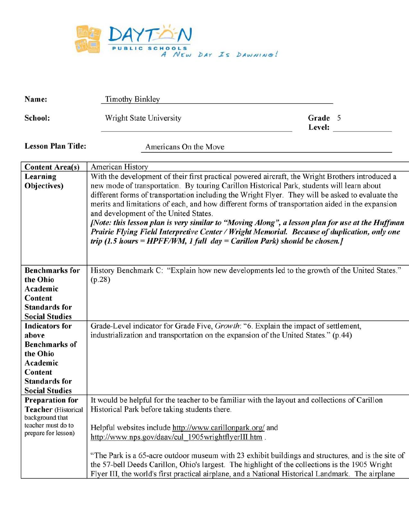

| Name:                                                                                                                                      | <b>Timothy Binkley</b>                                                                                                                                                                                                                                                                                                                                                                                                                                                                                                                                                                                                                                                                                                         |                   |  |
|--------------------------------------------------------------------------------------------------------------------------------------------|--------------------------------------------------------------------------------------------------------------------------------------------------------------------------------------------------------------------------------------------------------------------------------------------------------------------------------------------------------------------------------------------------------------------------------------------------------------------------------------------------------------------------------------------------------------------------------------------------------------------------------------------------------------------------------------------------------------------------------|-------------------|--|
| School:                                                                                                                                    | Wright State University                                                                                                                                                                                                                                                                                                                                                                                                                                                                                                                                                                                                                                                                                                        | Grade 5<br>Level: |  |
| <b>Lesson Plan Title:</b>                                                                                                                  | Americans On the Move                                                                                                                                                                                                                                                                                                                                                                                                                                                                                                                                                                                                                                                                                                          |                   |  |
| <b>Content Area(s)</b>                                                                                                                     | American History                                                                                                                                                                                                                                                                                                                                                                                                                                                                                                                                                                                                                                                                                                               |                   |  |
| Learning<br>Objectives)                                                                                                                    | With the development of their first practical powered aircraft, the Wright Brothers introduced a<br>new mode of transportation. By touring Carillon Historical Park, students will learn about<br>different forms of transportation including the Wright Flyer. They will be asked to evaluate the<br>merits and limitations of each, and how different forms of transportation aided in the expansion<br>and development of the United States.<br>[Note: this lesson plan is very similar to "Moving Along", a lesson plan for use at the Huffman<br>Prairie Flying Field Interpretive Center / Wright Memorial. Because of duplication, only one<br>trip (1.5 hours = HPFF/WM, 1 full day = Carillon Park) should be chosen. |                   |  |
| <b>Benchmarks</b> for<br>the Ohio<br>Academic<br>Content<br><b>Standards for</b><br><b>Social Studies</b>                                  | History Benchmark C: "Explain how new developments led to the growth of the United States."<br>(p.28)                                                                                                                                                                                                                                                                                                                                                                                                                                                                                                                                                                                                                          |                   |  |
| <b>Indicators</b> for<br>above<br><b>Benchmarks of</b><br>the Ohio<br>Academic<br>Content<br><b>Standards for</b><br><b>Social Studies</b> | Grade-Level indicator for Grade Five, Growth: "6. Explain the impact of settlement,<br>industrialization and transportation on the expansion of the United States." (p.44)                                                                                                                                                                                                                                                                                                                                                                                                                                                                                                                                                     |                   |  |
| <b>Preparation for</b><br>Teacher (Historical<br>background that<br>teacher must do to<br>prepare for lesson)                              | It would be helpful for the teacher to be familiar with the layout and collections of Carillon<br>Historical Park before taking students there.<br>Helpful websites include http://www.carillonpark.org/ and<br>http://www.nps.gov/daav/cul 1905wrightflyerIII.htm.<br>"The Park is a 65-acre outdoor museum with 23 exhibit buildings and structures, and is the site of<br>the 57-bell Deeds Carillon, Ohio's largest. The highlight of the collections is the 1905 Wright<br>Flyer III, the world's first practical airplane, and a National Historical Landmark. The airplane                                                                                                                                              |                   |  |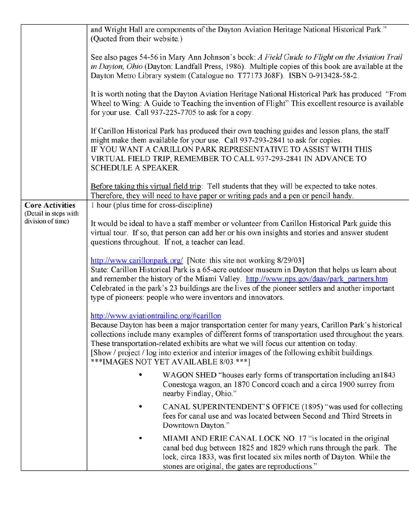|                                                 | and Wright Hall are components of the Dayton Aviation Heritage National Historical Park."<br>(Quoted from their website.)                                                                                                                                                                                                                                                                                                                                                          |  |  |  |  |
|-------------------------------------------------|------------------------------------------------------------------------------------------------------------------------------------------------------------------------------------------------------------------------------------------------------------------------------------------------------------------------------------------------------------------------------------------------------------------------------------------------------------------------------------|--|--|--|--|
|                                                 | See also pages 54-56 in Mary Ann Johnson's book: A Field Guide to Flight on the Aviation Trail<br>in Dayton, Ohio (Dayton: Landfall Press, 1986). Multiple copies of this book are available at the<br>Dayton Metro Library system (Catalogue no. T77173 J68F). ISBN 0-913428-58-2.                                                                                                                                                                                                |  |  |  |  |
|                                                 | It is worth noting that the Dayton Aviation Heritage National Historical Park has produced "From<br>Wheel to Wing: A Guide to Teaching the invention of Flight" This excellent resource is available<br>for your use. Call 937-225-7705 to ask for a copy.                                                                                                                                                                                                                         |  |  |  |  |
|                                                 | If Carillon Historical Park has produced their own teaching guides and lesson plans, the staff<br>might make them available for your use. Call 937-293-2841 to ask for copies.<br>IF YOU WANT A CARILLON PARK REPRESENTATIVE TO ASSIST WITH THIS<br>VIRTUAL FIELD TRIP, REMEMBER TO CALL 937-293-2841 IN ADVANCE TO<br><b>SCHEDULE A SPEAKER.</b>                                                                                                                                  |  |  |  |  |
|                                                 | Before taking this virtual field trip: Tell students that they will be expected to take notes.<br>Therefore, they will need to have paper or writing pads and a pen or pencil handy.                                                                                                                                                                                                                                                                                               |  |  |  |  |
| <b>Core Activities</b><br>(Detail in steps with | 1 hour (plus time for cross-discipline)                                                                                                                                                                                                                                                                                                                                                                                                                                            |  |  |  |  |
| division of time)                               | It would be ideal to have a staff member or volunteer from Carillon Historical Park guide this<br>virtual tour. If so, that person can add her or his own insights and stories and answer student<br>questions throughout. If not, a teacher can lead.                                                                                                                                                                                                                             |  |  |  |  |
|                                                 | http://www.carillonpark.org/ [Note: this site not working 8/29/03]<br>State: Carillon Historical Park is a 65-acre outdoor museum in Dayton that helps us learn about<br>and remember the history of the Miami Valley. http://www.nps.gov/daav/park_partners.htm<br>Celebrated in the park's 23 buildings are the lives of the pioneer settlers and another important<br>type of pioneers: people who were inventors and innovators.                                               |  |  |  |  |
|                                                 | http://www.aviationtrailinc.org/#carillon<br>Because Dayton has been a major transportation center for many years, Carillon Park's historical<br>collections include many examples of different forms of transportation used throughout the years.<br>These transportation-related exhibits are what we will focus our attention on today.<br>[Show / project / log into exterior and interior images of the following exhibit buildings.<br>***IMAGES NOT YET AVAILABLE 8/03.***] |  |  |  |  |
|                                                 | WAGON SHED "houses early forms of transportation including an1843<br>Conestoga wagon, an 1870 Concord coach and a circa 1900 surrey from<br>nearby Findlay, Ohio."                                                                                                                                                                                                                                                                                                                 |  |  |  |  |
|                                                 | CANAL SUPERINTENDENT'S OFFICE (1895) "was used for collecting<br>٠<br>fees for canal use and was located between Second and Third Streets in<br>Downtown Dayton."                                                                                                                                                                                                                                                                                                                  |  |  |  |  |
|                                                 | MIAMI AND ERIE CANAL LOCK NO. 17 "is located in the original<br>٠<br>canal bed dug between 1825 and 1829 which runs through the park. The<br>lock, circa 1833, was first located six miles north of Dayton. While the<br>stones are original, the gates are reproductions."                                                                                                                                                                                                        |  |  |  |  |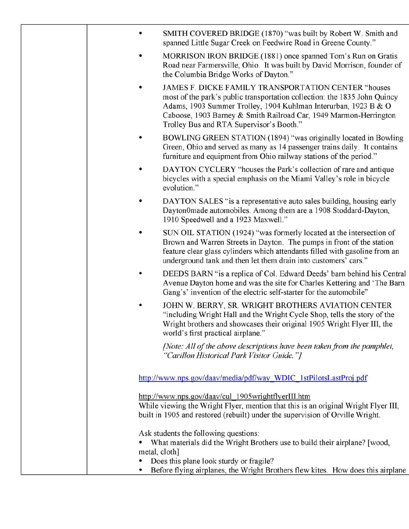| SMITH COVERED BRIDGE (1870) "was built by Robert W. Smith and<br>spanned Little Sugar Creek on Feedwire Road in Greene County."<br>MORRISON IRON BRIDGE (1881) once spanned Tom's Run on Gratis<br>Road near Farmersville, Ohio. It was built by David Morrison, founder of<br>the Columbia Bridge Works of Dayton."<br>JAMES F. DICKE FAMILY TRANSPORTATION CENTER "houses<br>٠<br>most of the park's public transportation collection: the 1835 John Quincy<br>Adams, 1903 Summer Trolley, 1904 Kuhlman Interurban, 1923 B & O<br>Caboose, 1903 Barney & Smith Railroad Car, 1949 Marmon-Herrington<br>Trolley Bus and RTA Supervisor's Booth."<br>BOWLING GREEN STATION (1894) "was originally located in Bowling<br>Green, Ohio and served as many as 14 passenger trains daily. It contains<br>furniture and equipment from Ohio railway stations of the period."<br>DAYTON CYCLERY "houses the Park's collection of rare and antique<br>bicycles with a special emphasis on the Miami Valley's role in bicycle<br>evolution."<br>DAYTON SALES "is a representative auto sales building, housing early<br>Dayton0made automobiles. Among them are a 1908 Stoddard-Dayton,<br>1910 Speedwell and a 1923 Maxwell."<br>SUN OIL STATION (1924) "was formerly located at the intersection of<br>Brown and Warren Streets in Dayton. The pumps in front of the station<br>feature clear glass cylinders which attendants filled with gasoline from an<br>underground tank and then let them drain into customers' cars."<br>DEEDS BARN "is a replica of Col. Edward Deeds' barn behind his Central<br>Avenue Dayton home and was the site for Charles Kettering and 'The Barn<br>Gang's' invention of the electric self-starter for the automobile"<br>JOHN W. BERRY, SR. WRIGHT BROTHERS AVIATION CENTER<br>"including Wright Hall and the Wright Cycle Shop, tells the story of the<br>Wright brothers and showcases their original 1905 Wright Flyer III, the<br>world's first practical airplane."<br>[Note: All of the above descriptions have been taken from the pamphlet,<br>"Carillon Historical Park Visitor Guide."] |  |
|--------------------------------------------------------------------------------------------------------------------------------------------------------------------------------------------------------------------------------------------------------------------------------------------------------------------------------------------------------------------------------------------------------------------------------------------------------------------------------------------------------------------------------------------------------------------------------------------------------------------------------------------------------------------------------------------------------------------------------------------------------------------------------------------------------------------------------------------------------------------------------------------------------------------------------------------------------------------------------------------------------------------------------------------------------------------------------------------------------------------------------------------------------------------------------------------------------------------------------------------------------------------------------------------------------------------------------------------------------------------------------------------------------------------------------------------------------------------------------------------------------------------------------------------------------------------------------------------------------------------------------------------------------------------------------------------------------------------------------------------------------------------------------------------------------------------------------------------------------------------------------------------------------------------------------------------------------------------------------------------------------------------------------------------------------------------------------------------------------------------------------|--|
|                                                                                                                                                                                                                                                                                                                                                                                                                                                                                                                                                                                                                                                                                                                                                                                                                                                                                                                                                                                                                                                                                                                                                                                                                                                                                                                                                                                                                                                                                                                                                                                                                                                                                                                                                                                                                                                                                                                                                                                                                                                                                                                                |  |
|                                                                                                                                                                                                                                                                                                                                                                                                                                                                                                                                                                                                                                                                                                                                                                                                                                                                                                                                                                                                                                                                                                                                                                                                                                                                                                                                                                                                                                                                                                                                                                                                                                                                                                                                                                                                                                                                                                                                                                                                                                                                                                                                |  |
|                                                                                                                                                                                                                                                                                                                                                                                                                                                                                                                                                                                                                                                                                                                                                                                                                                                                                                                                                                                                                                                                                                                                                                                                                                                                                                                                                                                                                                                                                                                                                                                                                                                                                                                                                                                                                                                                                                                                                                                                                                                                                                                                |  |
|                                                                                                                                                                                                                                                                                                                                                                                                                                                                                                                                                                                                                                                                                                                                                                                                                                                                                                                                                                                                                                                                                                                                                                                                                                                                                                                                                                                                                                                                                                                                                                                                                                                                                                                                                                                                                                                                                                                                                                                                                                                                                                                                |  |
|                                                                                                                                                                                                                                                                                                                                                                                                                                                                                                                                                                                                                                                                                                                                                                                                                                                                                                                                                                                                                                                                                                                                                                                                                                                                                                                                                                                                                                                                                                                                                                                                                                                                                                                                                                                                                                                                                                                                                                                                                                                                                                                                |  |
|                                                                                                                                                                                                                                                                                                                                                                                                                                                                                                                                                                                                                                                                                                                                                                                                                                                                                                                                                                                                                                                                                                                                                                                                                                                                                                                                                                                                                                                                                                                                                                                                                                                                                                                                                                                                                                                                                                                                                                                                                                                                                                                                |  |
|                                                                                                                                                                                                                                                                                                                                                                                                                                                                                                                                                                                                                                                                                                                                                                                                                                                                                                                                                                                                                                                                                                                                                                                                                                                                                                                                                                                                                                                                                                                                                                                                                                                                                                                                                                                                                                                                                                                                                                                                                                                                                                                                |  |
|                                                                                                                                                                                                                                                                                                                                                                                                                                                                                                                                                                                                                                                                                                                                                                                                                                                                                                                                                                                                                                                                                                                                                                                                                                                                                                                                                                                                                                                                                                                                                                                                                                                                                                                                                                                                                                                                                                                                                                                                                                                                                                                                |  |
|                                                                                                                                                                                                                                                                                                                                                                                                                                                                                                                                                                                                                                                                                                                                                                                                                                                                                                                                                                                                                                                                                                                                                                                                                                                                                                                                                                                                                                                                                                                                                                                                                                                                                                                                                                                                                                                                                                                                                                                                                                                                                                                                |  |
|                                                                                                                                                                                                                                                                                                                                                                                                                                                                                                                                                                                                                                                                                                                                                                                                                                                                                                                                                                                                                                                                                                                                                                                                                                                                                                                                                                                                                                                                                                                                                                                                                                                                                                                                                                                                                                                                                                                                                                                                                                                                                                                                |  |
| http://www.nps.gov/daav/media/pdf/way_WDIC_1stPilotsLastProj.pdf                                                                                                                                                                                                                                                                                                                                                                                                                                                                                                                                                                                                                                                                                                                                                                                                                                                                                                                                                                                                                                                                                                                                                                                                                                                                                                                                                                                                                                                                                                                                                                                                                                                                                                                                                                                                                                                                                                                                                                                                                                                               |  |
| http://www.nps.gov/daav/cul_1905wrightflyerIII.htm<br>While viewing the Wright Flyer, mention that this is an original Wright Flyer III,<br>built in 1905 and restored (rebuilt) under the supervision of Orville Wright.                                                                                                                                                                                                                                                                                                                                                                                                                                                                                                                                                                                                                                                                                                                                                                                                                                                                                                                                                                                                                                                                                                                                                                                                                                                                                                                                                                                                                                                                                                                                                                                                                                                                                                                                                                                                                                                                                                      |  |
| Ask students the following questions:<br>What materials did the Wright Brothers use to build their airplane? [wood,<br>metal, cloth]<br>Does this plane look sturdy or fragile?<br>Before flying airplanes, the Wright Brothers flew kites. How does this airplane                                                                                                                                                                                                                                                                                                                                                                                                                                                                                                                                                                                                                                                                                                                                                                                                                                                                                                                                                                                                                                                                                                                                                                                                                                                                                                                                                                                                                                                                                                                                                                                                                                                                                                                                                                                                                                                             |  |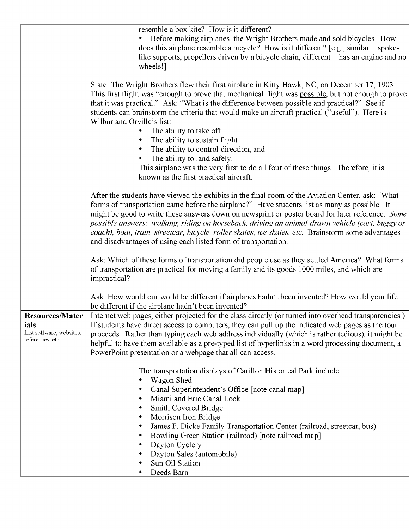|                                                                                | resemble a box kite? How is it different?<br>Before making airplanes, the Wright Brothers made and sold bicycles. How<br>does this airplane resemble a bicycle? How is it different? [e.g., similar = spoke-<br>like supports, propellers driven by a bicycle chain; different $=$ has an engine and no<br>wheels!]                                                                                                                                                                                                                                                               |
|--------------------------------------------------------------------------------|-----------------------------------------------------------------------------------------------------------------------------------------------------------------------------------------------------------------------------------------------------------------------------------------------------------------------------------------------------------------------------------------------------------------------------------------------------------------------------------------------------------------------------------------------------------------------------------|
|                                                                                | State: The Wright Brothers flew their first airplane in Kitty Hawk, NC, on December 17, 1903.<br>This first flight was "enough to prove that mechanical flight was possible, but not enough to prove<br>that it was practical." Ask: "What is the difference between possible and practical?" See if<br>students can brainstorm the criteria that would make an aircraft practical ("useful"). Here is<br>Wilbur and Orville's list:<br>The ability to take off                                                                                                                   |
|                                                                                | The ability to sustain flight<br>The ability to control direction, and<br>The ability to land safely.<br>This airplane was the very first to do all four of these things. Therefore, it is<br>known as the first practical aircraft.                                                                                                                                                                                                                                                                                                                                              |
|                                                                                | After the students have viewed the exhibits in the final room of the Aviation Center, ask: "What<br>forms of transportation came before the airplane?" Have students list as many as possible. It<br>might be good to write these answers down on newsprint or poster board for later reference. Some<br>possible answers: walking, riding on horseback, driving an animal-drawn vehicle (cart, buggy or<br>coach), boat, train, streetcar, bicycle, roller skates, ice skates, etc. Brainstorm some advantages<br>and disadvantages of using each listed form of transportation. |
|                                                                                | Ask: Which of these forms of transportation did people use as they settled America? What forms<br>of transportation are practical for moving a family and its goods 1000 miles, and which are<br>impractical?                                                                                                                                                                                                                                                                                                                                                                     |
|                                                                                | Ask: How would our world be different if airplanes hadn't been invented? How would your life<br>be different if the airplane hadn't been invented?                                                                                                                                                                                                                                                                                                                                                                                                                                |
| <b>Resources/Mater</b><br>ials<br>List software, websites,<br>references, etc. | Internet web pages, either projected for the class directly (or turned into overhead transparencies.)<br>If students have direct access to computers, they can pull up the indicated web pages as the tour<br>proceeds. Rather than typing each web address individually (which is rather tedious), it might be<br>helpful to have them available as a pre-typed list of hyperlinks in a word processing document, a<br>PowerPoint presentation or a webpage that all can access.                                                                                                 |
|                                                                                | The transportation displays of Carillon Historical Park include:<br>Wagon Shed<br>Canal Superintendent's Office [note canal map]<br>Miami and Erie Canal Lock<br>Smith Covered Bridge<br>Morrison Iron Bridge<br>٠<br>James F. Dicke Family Transportation Center (railroad, streetcar, bus)<br>٠<br>Bowling Green Station (railroad) [note railroad map]                                                                                                                                                                                                                         |
|                                                                                | Dayton Cyclery<br>Dayton Sales (automobile)<br>Sun Oil Station<br>Deeds Barn<br>٠                                                                                                                                                                                                                                                                                                                                                                                                                                                                                                 |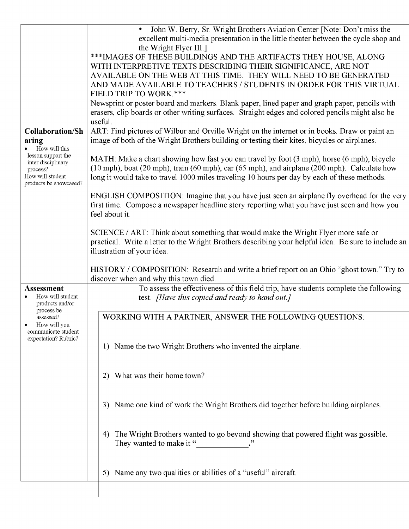|                                                                                                    | 5) Name any two qualities or abilities of a "useful" aircraft.                                                                                                                                                                                                                             |
|----------------------------------------------------------------------------------------------------|--------------------------------------------------------------------------------------------------------------------------------------------------------------------------------------------------------------------------------------------------------------------------------------------|
|                                                                                                    | The Wright Brothers wanted to go beyond showing that powered flight was possible.<br>4)<br>They wanted to make it "                                                                                                                                                                        |
|                                                                                                    | 3) Name one kind of work the Wright Brothers did together before building airplanes.                                                                                                                                                                                                       |
|                                                                                                    | What was their home town?<br>2)                                                                                                                                                                                                                                                            |
| communicate student<br>expectation? Rubric?                                                        | 1) Name the two Wright Brothers who invented the airplane.                                                                                                                                                                                                                                 |
| process be<br>assessed?<br>How will you                                                            | WORKING WITH A PARTNER, ANSWER THE FOLLOWING QUESTIONS:                                                                                                                                                                                                                                    |
| How will student<br>products and/or                                                                | test. <i>[Have this copied and ready to hand out.]</i>                                                                                                                                                                                                                                     |
| <b>Assessment</b>                                                                                  | HISTORY / COMPOSITION: Research and write a brief report on an Ohio "ghost town." Try to<br>discover when and why this town died.<br>To assess the effectiveness of this field trip, have students complete the following                                                                  |
|                                                                                                    | illustration of your idea.                                                                                                                                                                                                                                                                 |
|                                                                                                    | SCIENCE / ART: Think about something that would make the Wright Flyer more safe or<br>practical. Write a letter to the Wright Brothers describing your helpful idea. Be sure to include an                                                                                                 |
|                                                                                                    | ENGLISH COMPOSITION: Imagine that you have just seen an airplane fly overhead for the very<br>first time. Compose a newspaper headline story reporting what you have just seen and how you<br>feel about it.                                                                               |
| lesson support the<br>inter disciplinary<br>process?<br>How will student<br>products be showcased? | MATH: Make a chart showing how fast you can travel by foot (3 mph), horse (6 mph), bicycle<br>(10 mph), boat (20 mph), train (60 mph), car (65 mph), and airplane (200 mph). Calculate how<br>long it would take to travel 1000 miles traveling 10 hours per day by each of these methods. |
| <b>Collaboration/Sh</b><br>aring<br>How will this                                                  | ART: Find pictures of Wilbur and Orville Wright on the internet or in books. Draw or paint an<br>image of both of the Wright Brothers building or testing their kites, bicycles or airplanes.                                                                                              |
|                                                                                                    | Newsprint or poster board and markers. Blank paper, lined paper and graph paper, pencils with<br>erasers, clip boards or other writing surfaces. Straight edges and colored pencils might also be<br>useful.                                                                               |
|                                                                                                    | AND MADE AVAILABLE TO TEACHERS / STUDENTS IN ORDER FOR THIS VIRTUAL<br>FIELD TRIP TO WORK.***                                                                                                                                                                                              |
|                                                                                                    | *** IMAGES OF THESE BUILDINGS AND THE ARTIFACTS THEY HOUSE, ALONG<br>WITH INTERPRETIVE TEXTS DESCRIBING THEIR SIGNIFICANCE, ARE NOT<br>AVAILABLE ON THE WEB AT THIS TIME. THEY WILL NEED TO BE GENERATED                                                                                   |
|                                                                                                    | John W. Berry, Sr. Wright Brothers Aviation Center [Note: Don't miss the<br>excellent multi-media presentation in the little theater between the cycle shop and<br>the Wright Flyer III.]                                                                                                  |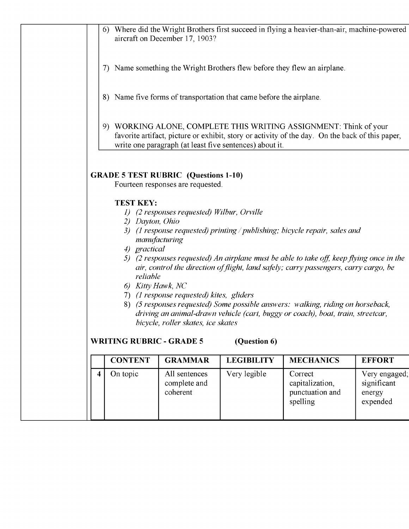| 6) Kitty Hawk, NC<br>7) (1 response requested) kites, gliders<br>8) (5 responses requested) Some possible answers: walking, riding on horseback,<br>driving an animal-drawn vehicle (cart, buggy or coach), boat, train, streetcar,<br>bicycle, roller skates, ice skates                                   |                                                                                                                                                                                                                                 |                                            |                                                                     |                                                                                              |  |  |
|-------------------------------------------------------------------------------------------------------------------------------------------------------------------------------------------------------------------------------------------------------------------------------------------------------------|---------------------------------------------------------------------------------------------------------------------------------------------------------------------------------------------------------------------------------|--------------------------------------------|---------------------------------------------------------------------|----------------------------------------------------------------------------------------------|--|--|
| 3) (1 response requested) printing / publishing; bicycle repair, sales and<br>manufacturing<br>4) practical<br>5) (2 responses requested) An airplane must be able to take off, keep flying once in the<br>air, control the direction of flight, land safely; carry passengers, carry cargo, be<br>reliable |                                                                                                                                                                                                                                 |                                            |                                                                     |                                                                                              |  |  |
|                                                                                                                                                                                                                                                                                                             | <b>TEST KEY:</b><br>2) Dayton, Ohio                                                                                                                                                                                             | 1) (2 responses requested) Wilbur, Orville |                                                                     |                                                                                              |  |  |
| <b>GRADE 5 TEST RUBRIC (Questions 1-10)</b><br>Fourteen responses are requested.                                                                                                                                                                                                                            |                                                                                                                                                                                                                                 |                                            |                                                                     |                                                                                              |  |  |
|                                                                                                                                                                                                                                                                                                             | 9) WORKING ALONE, COMPLETE THIS WRITING ASSIGNMENT: Think of your<br>favorite artifact, picture or exhibit, story or activity of the day. On the back of this paper,<br>write one paragraph (at least five sentences) about it. |                                            |                                                                     |                                                                                              |  |  |
|                                                                                                                                                                                                                                                                                                             |                                                                                                                                                                                                                                 |                                            | 8) Name five forms of transportation that came before the airplane. |                                                                                              |  |  |
|                                                                                                                                                                                                                                                                                                             |                                                                                                                                                                                                                                 |                                            |                                                                     | 7) Name something the Wright Brothers flew before they flew an airplane.                     |  |  |
|                                                                                                                                                                                                                                                                                                             |                                                                                                                                                                                                                                 | aircraft on December 17, 1903?             |                                                                     | 6) Where did the Wright Brothers first succeed in flying a heavier-than-air, machine-powered |  |  |